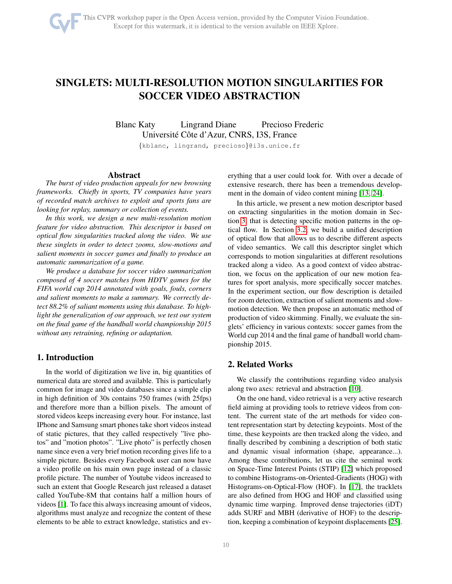# SINGLETS: MULTI-RESOLUTION MOTION SINGULARITIES FOR SOCCER VIDEO ABSTRACTION

Blanc Katy Lingrand Diane Precioso Frederic Université Côte d'Azur, CNRS, I3S, France

{kblanc, lingrand, precioso}@i3s.unice.fr

## Abstract

*The burst of video production appeals for new browsing frameworks. Chiefly in sports, TV companies have years of recorded match archives to exploit and sports fans are looking for replay, summary or collection of events.*

*In this work, we design a new multi-resolution motion feature for video abstraction. This descriptor is based on optical flow singularities tracked along the video. We use these singlets in order to detect zooms, slow-motions and salient moments in soccer games and finally to produce an automatic summarization of a game.*

*We produce a database for soccer video summarization composed of 4 soccer matches from HDTV games for the FIFA world cup 2014 annotated with goals, fouls, corners and salient moments to make a summary. We correctly detect 88.2% of saliant moments using this database. To highlight the generalization of our approach, we test our system on the final game of the handball world championship 2015 without any retraining, refining or adaptation.*

## 1. Introduction

In the world of digitization we live in, big quantities of numerical data are stored and available. This is particularly common for image and video databases since a simple clip in high definition of 30s contains 750 frames (with 25fps) and therefore more than a billion pixels. The amount of stored videos keeps increasing every hour. For instance, last IPhone and Samsung smart phones take short videos instead of static pictures, that they called respectively "live photos" and "motion photos". "Live photo" is perfectly chosen name since even a very brief motion recording gives life to a simple picture. Besides every Facebook user can now have a video profile on his main own page instead of a classic profile picture. The number of Youtube videos increased to such an extent that Google Research just released a dataset called YouTube-8M that contains half a million hours of videos [\[1\]](#page-8-0). To face this always increasing amount of videos, algorithms must analyze and recognize the content of these elements to be able to extract knowledge, statistics and everything that a user could look for. With over a decade of extensive research, there has been a tremendous development in the domain of video content mining [\[13,](#page-8-1) [24\]](#page-8-2).

In this article, we present a new motion descriptor based on extracting singularities in the motion domain in Section [3,](#page-1-0) that is detecting specific motion patterns in the optical flow. In Section [3.2,](#page-2-0) we build a unified description of optical flow that allows us to describe different aspects of video semantics. We call this descriptor singlet which corresponds to motion singularities at different resolutions tracked along a video. As a good context of video abstraction, we focus on the application of our new motion features for sport analysis, more specifically soccer matches. In the experiment section, our flow description is detailed for zoom detection, extraction of salient moments and slowmotion detection. We then propose an automatic method of production of video skimming. Finally, we evaluate the singlets' efficiency in various contexts: soccer games from the World cup 2014 and the final game of handball world championship 2015.

## 2. Related Works

We classify the contributions regarding video analysis along two axes: retrieval and abstraction [\[10\]](#page-8-3).

On the one hand, video retrieval is a very active research field aiming at providing tools to retrieve videos from content. The current state of the art methods for video content representation start by detecting keypoints. Most of the time, these keypoints are then tracked along the video, and finally described by combining a description of both static and dynamic visual information (shape, appearance...). Among these contributions, let us cite the seminal work on Space-Time Interest Points (STIP) [\[12\]](#page-8-4) which proposed to combine Histograms-on-Oriented-Gradients (HOG) with Histograms-on-Optical-Flow (HOF). In [\[17\]](#page-8-5), the tracklets are also defined from HOG and HOF and classified using dynamic time warping. Improved dense trajectories (iDT) adds SURF and MBH (derivative of HOF) to the description, keeping a combination of keypoint displacements [\[25\]](#page-8-6).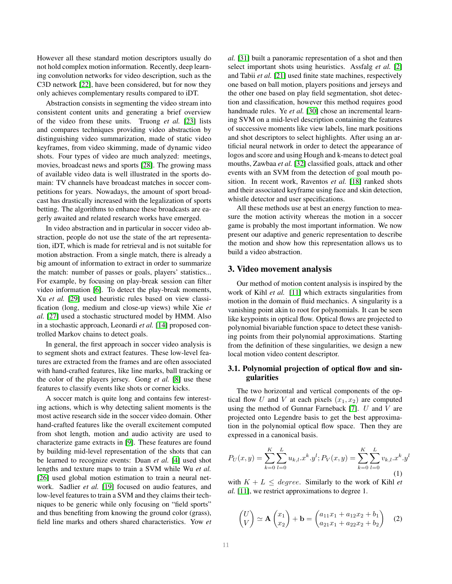However all these standard motion descriptors usually do not hold complex motion information. Recently, deep learning convolution networks for video description, such as the C3D network [\[22\]](#page-8-7), have been considered, but for now they only achieves complementary results compared to iDT.

Abstraction consists in segmenting the video stream into consistent content units and generating a brief overview of the video from these units. Truong *et al.* [\[23\]](#page-8-8) lists and compares techniques providing video abstraction by distinguishing video summarization, made of static video keyframes, from video skimming, made of dynamic video shots. Four types of video are much analyzed: meetings, movies, broadcast news and sports [\[28\]](#page-9-0). The growing mass of available video data is well illustrated in the sports domain: TV channels have broadcast matches in soccer competitions for years. Nowadays, the amount of sport broadcast has drastically increased with the legalization of sports betting. The algorithms to enhance these broadcasts are eagerly awaited and related research works have emerged.

In video abstraction and in particular in soccer video abstraction, people do not use the state of the art representation, iDT, which is made for retrieval and is not suitable for motion abstraction. From a single match, there is already a big amount of information to extract in order to summarize the match: number of passes or goals, players' statistics... For example, by focusing on play-break session can filter video information [\[6\]](#page-8-9). To detect the play-break moments, Xu *et al.* [\[29\]](#page-9-1) used heuristic rules based on view classification (long, medium and close-up views) while Xie *et al.* [\[27\]](#page-8-10) used a stochastic structured model by HMM. Also in a stochastic approach, Leonardi *et al.* [\[14\]](#page-8-11) proposed controlled Markov chains to detect goals.

In general, the first approach in soccer video analysis is to segment shots and extract features. These low-level features are extracted from the frames and are often associated with hand-crafted features, like line marks, ball tracking or the color of the players jersey. Gong *et al.* [\[8\]](#page-8-12) use these features to classify events like shots or corner kicks.

A soccer match is quite long and contains few interesting actions, which is why detecting salient moments is the most active research side in the soccer video domain. Other hand-crafted features like the overall excitement computed from shot length, motion and audio activity are used to characterize game extracts in [\[9\]](#page-8-13). These features are found by building mid-level representation of the shots that can be learned to recognize events: Duan *et al.* [\[4\]](#page-8-14) used shot lengths and texture maps to train a SVM while Wu *et al.* [\[26\]](#page-8-15) used global motion estimation to train a neural network. Sadlier *et al.* [\[19\]](#page-8-16) focused on audio features, and low-level features to train a SVM and they claims their techniques to be generic while only focusing on "field sports" and thus benefiting from knowing the ground color (grass), field line marks and others shared characteristics. Yow *et* *al.* [\[31\]](#page-9-2) built a panoramic representation of a shot and then select important shots using heuristics. Assfalg *et al.* [\[2\]](#page-8-17) and Tabii *et al.* [\[21\]](#page-8-18) used finite state machines, respectively one based on ball motion, players positions and jerseys and the other one based on play field segmentation, shot detection and classification, however this method requires good handmade rules. Ye *et al.* [\[30\]](#page-9-3) chose an incremental learning SVM on a mid-level description containing the features of successive moments like view labels, line mark positions and shot descriptors to select highlights. After using an artificial neural network in order to detect the appearance of logos and score and using Hough and k-means to detect goal mouths, Zawbaa *et al.* [\[32\]](#page-9-4) classified goals, attack and other events with an SVM from the detection of goal mouth position. In recent work, Raventos *et al.* [\[18\]](#page-8-19) ranked shots and their associated keyframe using face and skin detection, whistle detector and user specifications.

All these methods use at best an energy function to measure the motion activity whereas the motion in a soccer game is probably the most important information. We now present our adaptive and generic representation to describe the motion and show how this representation allows us to build a video abstraction.

## <span id="page-1-0"></span>3. Video movement analysis

Our method of motion content analysis is inspired by the work of Kihl *et al.* [\[11\]](#page-8-20) which extracts singularities from motion in the domain of fluid mechanics. A singularity is a vanishing point akin to root for polynomials. It can be seen like keypoints in optical flow. Optical flows are projected to polynomial bivariable function space to detect these vanishing points from their polynomial approximations. Starting from the definition of these singularities, we design a new local motion video content descriptor.

## 3.1. Polynomial projection of optical flow and singularities

The two horizontal and vertical components of the optical flow U and V at each pixels  $(x_1, x_2)$  are computed using the method of Gunnar Farneback [\[7\]](#page-8-21).  $U$  and  $V$  are projected onto Legendre basis to get the best approximation in the polynomial optical flow space. Then they are expressed in a canonical basis.

<span id="page-1-1"></span>
$$
P_U(x,y) = \sum_{k=0}^{K} \sum_{l=0}^{L} u_{k,l} \cdot x^k \cdot y^l; P_V(x,y) = \sum_{k=0}^{K} \sum_{l=0}^{L} v_{k,l} \cdot x^k \cdot y^l
$$
\n(1)

with  $K + L \leq degree$ . Similarly to the work of Kihl *et al.* [\[11\]](#page-8-20), we restrict approximations to degree 1.

$$
\begin{pmatrix} U \\ V \end{pmatrix} \simeq \mathbf{A} \begin{pmatrix} x_1 \\ x_2 \end{pmatrix} + \mathbf{b} = \begin{pmatrix} a_{11}x_1 + a_{12}x_2 + b_1 \\ a_{21}x_1 + a_{22}x_2 + b_2 \end{pmatrix} \quad (2)
$$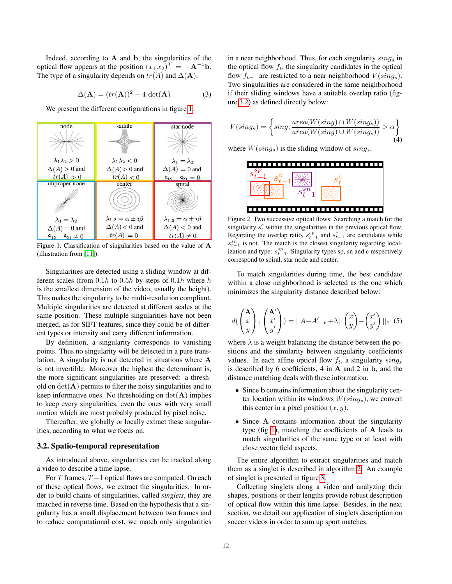Indeed, according to  $A$  and  $b$ , the singularities of the optical flow appears at the position  $(x_1 x_2)^T = -A^{-1}b$ . The type of a singularity depends on  $tr(A)$  and  $\Delta(A)$ .

<span id="page-2-3"></span>
$$
\Delta(\mathbf{A}) = (tr(\mathbf{A}))^2 - 4 \det(\mathbf{A})
$$
 (3)

We present the different configurations in figure [1.](#page-2-1)



<span id="page-2-1"></span>Figure 1. Classification of singularities based on the value of A (illustration from [\[11\]](#page-8-20)).

Singularities are detected using a sliding window at different scales (from  $0.1h$  to  $0.5h$  by steps of  $0.1h$  where h is the smallest dimension of the video, usually the height). This makes the singularity to be multi-resolution compliant. Multiple singularities are detected at different scales at the same position. These multiple singularities have not been merged, as for SIFT features, since they could be of different types or intensity and carry different information.

By definition, a singularity corresponds to vanishing points. Thus no singularity will be detected in a pure translation. A singularity is not detected in situations where A is not invertible. Moreover the highest the determinant is, the more significant singularities are preserved: a threshold on  $det(\mathbf{A})$  permits to filter the noisy singularities and to keep informative ones. No thresholding on  $det(\mathbf{A})$  implies to keep every singularities, even the ones with very small motion which are most probably produced by pixel noise.

Thereafter, we globally or locally extract these singularities, according to what we focus on.

#### <span id="page-2-0"></span>3.2. Spatio-temporal representation

As introduced above, singularities can be tracked along a video to describe a time lapse.

For T frames,  $T - 1$  optical flows are computed. On each of these optical flows, we extract the singularities. In order to build chains of singularities, called *singlets*, they are matched in reverse time. Based on the hypothesis that a singularity has a small displacement between two frames and to reduce computational cost, we match only singularities

in a near neighborhood. Thus, for each singularity  $\sin q_s$  in the optical flow  $f_t$ , the singularity candidates in the optical flow  $f_{t-1}$  are restricted to a near neighborhood  $V(sing_s)$ . Two singularities are considered in the same neighborhood if their sliding windows have a suitable overlap ratio (figure [3.2\)](#page-2-2) as defined directly below:

<span id="page-2-4"></span>
$$
V(sing_s) = \left\{ sing; \frac{area(W(sing) \cap W(sing_s))}{area(W(sing) \cup W(sing_s))} > \alpha \right\}
$$
(4)

where  $W(sing_s)$  is the sliding window of  $sing_s$ .



<span id="page-2-2"></span>Figure 2. Two successive optical flows: Searching a match for the singularity  $s_t^c$  within the singularities in the previous optical flow. Regarding the overlap ratio,  $s_{t-1}^{sp}$  and  $s_{t-1}^{c}$  are candidates while  $s_{t-1}^{sn}$  is not. The match is the closest singularity regarding localization and type:  $s_{t-1}^{sp}$ . Singularity types sp, sn and c respectively correspond to spiral, star node and center.

To match singularities during time, the best candidate within a close neighborhood is selected as the one which minimizes the singularity distance described below:

<span id="page-2-5"></span>
$$
d\left(\begin{pmatrix} \mathbf{A} \\ x \\ y \end{pmatrix}, \begin{pmatrix} \mathbf{A'} \\ x' \\ y' \end{pmatrix}\right) = ||A - A'||_F + \lambda||\begin{pmatrix} x \\ y \end{pmatrix} - \begin{pmatrix} x' \\ y' \end{pmatrix}||_2
$$
 (5)

where  $\lambda$  is a weight balancing the distance between the positions and the similarity between singularity coefficients values. In each affine optical flow  $f_t$ , a singularity  $sing_s$ is described by 6 coefficients, 4 in A and 2 in b, and the distance matching deals with these information.

- Since b contains information about the singularity center location within its windows  $W(sing_s)$ , we convert this center in a pixel position  $(x, y)$ .
- Since A contains information about the singularity type (fig [1\)](#page-2-1), matching the coefficients of  $A$  leads to match singularities of the same type or at least with close vector field aspects.

The entire algorithm to extract singularities and match them as a singlet is described in algorithm [2.](#page-3-0) An example of singlet is presented in figure [3.](#page-3-1)

Collecting singlets along a video and analyzing their shapes, positions or their lengths provide robust description of optical flow within this time lapse. Besides, in the next section, we detail our application of singlets description on soccer videos in order to sum up sport matches.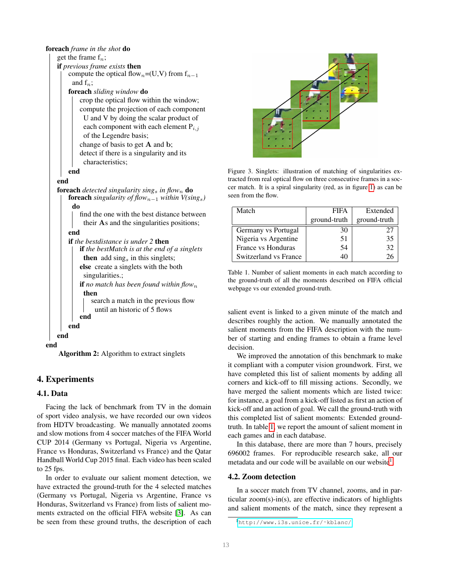#### foreach *frame in the shot* do

```
get the frame f_n;
    if previous frame exists then
        compute the optical flow<sub>n</sub>=(U,V) from f_{n-1}and f_n;
        foreach sliding window do
            crop the optical flow within the window;
            compute the projection of each component
             U and V by doing the scalar product of
             each component with each element P_{i,j}of the Legendre basis;
            change of basis to get A and b;
            detect if there is a singularity and its
             characteristics;
        end
    end
    foreach detected singularity sings in flown do
        foreach singularity of flow<sub>n−1</sub> within V(sing_s)do
            find the one with the best distance between
             their As and the singularities positions;
        end
        if the bestdistance is under 2 then
            if the bestMatch is at the end of a singlets
             then \alpha add sings in this singlets;
            else create a singlets with the both
             singularities.;
            if no match has been found within flow<sub>n</sub>
             then
                search a match in the previous flow
                  until an historic of 5 flows
            end
        end
    end
end
```
<span id="page-3-0"></span>Algorithm 2: Algorithm to extract singlets

# 4. Experiments

## <span id="page-3-5"></span>4.1. Data

Facing the lack of benchmark from TV in the domain of sport video analysis, we have recorded our own videos from HDTV broadcasting. We manually annotated zooms and slow motions from 4 soccer matches of the FIFA World CUP 2014 (Germany vs Portugal, Nigeria vs Argentine, France vs Honduras, Switzerland vs France) and the Qatar Handball World Cup 2015 final. Each video has been scaled to 25 fps.

In order to evaluate our salient moment detection, we have extracted the ground-truth for the 4 selected matches (Germany vs Portugal, Nigeria vs Argentine, France vs Honduras, Switzerland vs France) from lists of salient moments extracted on the official FIFA website [\[3\]](#page-8-22). As can be seen from these ground truths, the description of each



Figure 3. Singlets: illustration of matching of singularities extracted from real optical flow on three consecutive frames in a soccer match. It is a spiral singularity (red, as in figure [1\)](#page-2-1) as can be seen from the flow.

<span id="page-3-1"></span>

| Match                 | <b>FIFA</b>  | Extended     |
|-----------------------|--------------|--------------|
|                       | ground-truth | ground-truth |
| Germany vs Portugal   | 30           | 27           |
| Nigeria vs Argentine  | 51           | 35           |
| France vs Honduras    | 54           | 32           |
| Switzerland vs France | 40           | 76           |

<span id="page-3-2"></span>Table 1. Number of salient moments in each match according to the ground-truth of all the moments described on FIFA official webpage vs our extended ground-truth.

salient event is linked to a given minute of the match and describes roughly the action. We manually annotated the salient moments from the FIFA description with the number of starting and ending frames to obtain a frame level decision.

We improved the annotation of this benchmark to make it compliant with a computer vision groundwork. First, we have completed this list of salient moments by adding all corners and kick-off to fill missing actions. Secondly, we have merged the salient moments which are listed twice: for instance, a goal from a kick-off listed as first an action of kick-off and an action of goal. We call the ground-truth with this completed list of salient moments: Extended groundtruth. In table [1,](#page-3-2) we report the amount of salient moment in each games and in each database.

In this database, there are more than 7 hours, precisely 696002 frames. For reproducible research sake, all our metadata and our code will be available on our website<sup>[1](#page-3-3)</sup>.

#### <span id="page-3-4"></span>4.2. Zoom detection

In a soccer match from TV channel, zooms, and in particular zoom(s)-in(s), are effective indicators of highlights and salient moments of the match, since they represent a

<span id="page-3-3"></span><sup>1</sup>[http://www.i3s.unice.fr/˜kblanc/](http://www.i3s.unice.fr/~kblanc/)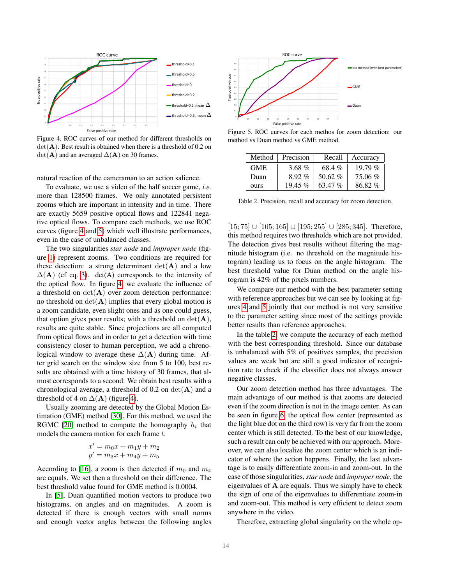

<span id="page-4-0"></span>Figure 4. ROC curves of our method for different thresholds on  $det(\mathbf{A})$ . Best result is obtained when there is a threshold of 0.2 on  $det(\mathbf{A})$  and an averaged  $\Delta(\mathbf{A})$  on 30 frames.

natural reaction of the cameraman to an action salience.

To evaluate, we use a video of the half soccer game, *i.e.* more than 128500 frames. We only annotated persistent zooms which are important in intensity and in time. There are exactly 5659 positive optical flows and 122841 negative optical flows. To compare each methods, we use ROC curves (figure [4](#page-4-0) and [5\)](#page-4-1) which well illustrate performances, even in the case of unbalanced classes.

The two singularities *star node* and *improper node* (figure [1\)](#page-2-1) represent zooms. Two conditions are required for these detection: a strong determinant  $det(\mathbf{A})$  and a low  $\Delta(A)$  (cf eq. [3\)](#page-2-3). det(A) corresponds to the intensity of the optical flow. In figure [4,](#page-4-0) we evaluate the influence of a threshold on  $det(\mathbf{A})$  over zoom detection performance: no threshold on  $\det(A)$  implies that every global motion is a zoom candidate, even slight ones and as one could guess, that option gives poor results; with a threshold on  $det(\mathbf{A})$ , results are quite stable. Since projections are all computed from optical flows and in order to get a detection with time consistency closer to human perception, we add a chronological window to average these  $\Delta(A)$  during time. After grid search on the window size from 5 to 100, best results are obtained with a time history of 30 frames, that almost corresponds to a second. We obtain best results with a chronological average, a threshold of 0.2 on  $det(\mathbf{A})$  and a threshold of 4 on  $\Delta(A)$  (figure [4\)](#page-4-0).

Usually zooming are detected by the Global Motion Estimation (GME) method [\[30\]](#page-9-3). For this method, we used the RGMC [\[20\]](#page-8-23) method to compute the homography  $h_t$  that models the camera motion for each frame t.

$$
x' = m_0 x + m_1 y + m_2
$$
  

$$
y' = m_3 x + m_4 y + m_5
$$

According to [\[16\]](#page-8-24), a zoom is then detected if  $m_0$  and  $m_4$ are equals. We set then a threshold on their difference. The best threshold value found for GME method is 0.0004.

In [\[5\]](#page-8-25), Duan quantified motion vectors to produce two histograms, on angles and on magnitudes. A zoom is detected if there is enough vectors with small norms and enough vector angles between the following angles



<span id="page-4-1"></span>Figure 5. ROC curves for each methos for zoom detection: our method vs Duan method vs GME method.

| Method     | Precision | Recall    | Accuracy  |
|------------|-----------|-----------|-----------|
| <b>GME</b> | 3.68 $%$  | 68.4%     | 19.79 $%$ |
| Duan       | $8.92\%$  | 50.62 $%$ | 75.06%    |
| ours       | $19.45\%$ | 63.47%    | 86.82%    |

<span id="page-4-2"></span>Table 2. Precision, recall and accuracy for zoom detection.

[15; 75] ∪ [105; 165] ∪ [195; 255] ∪ [285; 345]. Therefore, this method requires two thresholds which are not provided. The detection gives best results without filtering the magnitude histogram (i.e. no threshold on the magnitude histogram) leading us to focus on the angle histogram. The best threshold value for Duan method on the angle histogram is 42% of the pixels numbers.

We compare our method with the best parameter setting with reference approaches but we can see by looking at figures [4](#page-4-0) and [5](#page-4-1) jointly that our method is not very sensitive to the parameter setting since most of the settings provide better results than reference approaches.

In the table [2,](#page-4-2) we compute the accuracy of each method with the best corresponding threshold. Since our database is unbalanced with 5% of positives samples, the precision values are weak but are still a good indicator of recognition rate to check if the classifier does not always answer negative classes.

Our zoom detection method has three advantages. The main advantage of our method is that zooms are detected even if the zoom direction is not in the image center. As can be seen in figure [6,](#page-5-0) the optical flow center (represented as the light blue dot on the third row) is very far from the zoom center which is still detected. To the best of our knowledge, such a result can only be achieved with our approach. Moreover, we can also localize the zoom center which is an indicator of where the action happens. Finally, the last advantage is to easily differentiate zoom-in and zoom-out. In the case of those singularities, *star node* and *improper node*, the eigenvalues of  $A$  are equals. Thus we simply have to check the sign of one of the eigenvalues to differentiate zoom-in and zoom-out. This method is very efficient to detect zoom anywhere in the video.

Therefore, extracting global singularity on the whole op-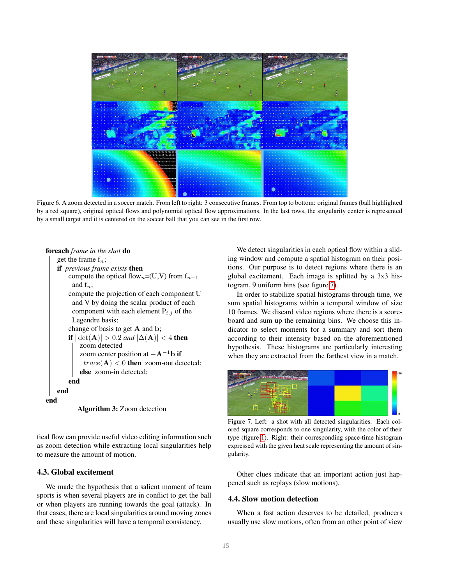

<span id="page-5-0"></span>Figure 6. A zoom detected in a soccer match. From left to right: 3 consecutive frames. From top to bottom: original frames (ball highlighted by a red square), original optical flows and polynomial optical flow approximations. In the last rows, the singularity center is represented by a small target and it is centered on the soccer ball that you can see in the first row.





tical flow can provide useful video editing information such as zoom detection while extracting local singularities help to measure the amount of motion.

#### 4.3. Global excitement

We made the hypothesis that a salient moment of team sports is when several players are in conflict to get the ball or when players are running towards the goal (attack). In that cases, there are local singularities around moving zones and these singularities will have a temporal consistency.

We detect singularities in each optical flow within a sliding window and compute a spatial histogram on their positions. Our purpose is to detect regions where there is an global excitement. Each image is splitted by a 3x3 histogram, 9 uniform bins (see figure [7\)](#page-5-1).

In order to stabilize spatial histograms through time, we sum spatial histograms within a temporal window of size 10 frames. We discard video regions where there is a scoreboard and sum up the remaining bins. We choose this indicator to select moments for a summary and sort them according to their intensity based on the aforementioned hypothesis. These histograms are particularly interesting when they are extracted from the farthest view in a match.



<span id="page-5-1"></span>Figure 7. Left: a shot with all detected singularities. Each colored square corresponds to one singularity, with the color of their type (figure [1\)](#page-2-1). Right: their corresponding space-time histogram expressed with the given heat scale representing the amount of singularity.

Other clues indicate that an important action just happened such as replays (slow motions).

## 4.4. Slow motion detection

When a fast action deserves to be detailed, producers usually use slow motions, often from an other point of view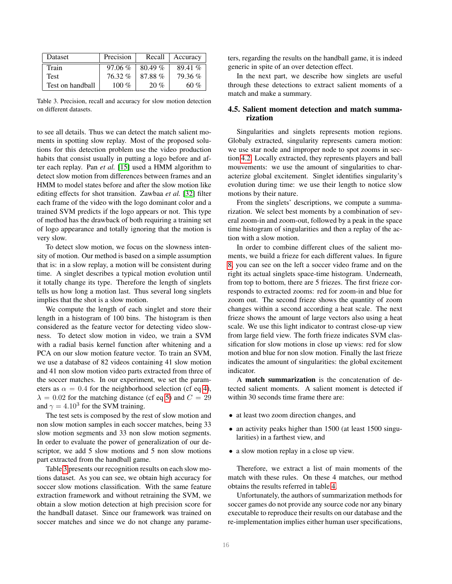| <b>Dataset</b>   | Precision | Recall    | Accuracy |
|------------------|-----------|-----------|----------|
| Train            | $97.06\%$ | $80.49\%$ | 89.41%   |
| <b>Test</b>      | $76.32\%$ | 87.88%    | 79.36 %  |
| Test on handball | 100 $\%$  | 20%       | 60 %     |

<span id="page-6-0"></span>Table 3. Precision, recall and accuracy for slow motion detection on different datasets.

to see all details. Thus we can detect the match salient moments in spotting slow replay. Most of the proposed solutions for this detection problem use the video production habits that consist usually in putting a logo before and after each replay. Pan *et al.* [\[15\]](#page-8-26) used a HMM algorithm to detect slow motion from differences between frames and an HMM to model states before and after the slow motion like editing effects for shot transition. Zawbaa *et al.* [\[32\]](#page-9-4) filter each frame of the video with the logo dominant color and a trained SVM predicts if the logo appears or not. This type of method has the drawback of both requiring a training set of logo appearance and totally ignoring that the motion is very slow.

To detect slow motion, we focus on the slowness intensity of motion. Our method is based on a simple assumption that is: in a slow replay, a motion will be consistent during time. A singlet describes a typical motion evolution until it totally change its type. Therefore the length of singlets tells us how long a motion last. Thus several long singlets implies that the shot is a slow motion.

We compute the length of each singlet and store their length in a histogram of 100 bins. The histogram is then considered as the feature vector for detecting video slowness. To detect slow motion in video, we train a SVM with a radial basis kernel function after whitening and a PCA on our slow motion feature vector. To train an SVM, we use a database of 82 videos containing 41 slow motion and 41 non slow motion video parts extracted from three of the soccer matches. In our experiment, we set the parameters as  $\alpha = 0.4$  for the neighborhood selection (cf eq [4\)](#page-2-4),  $\lambda = 0.02$  for the matching distance (cf eq [5\)](#page-2-5) and  $C = 29$ and  $\gamma = 4.10^3$  for the SVM training.

The test sets is composed by the rest of slow motion and non slow motion samples in each soccer matches, being 33 slow motion segments and 33 non slow motion segments. In order to evaluate the power of generalization of our descriptor, we add 5 slow motions and 5 non slow motions part extracted from the handball game.

Table [3](#page-6-0) presents our recognition results on each slow motions dataset. As you can see, we obtain high accuracy for soccer slow motions classification. With the same feature extraction framework and without retraining the SVM, we obtain a slow motion detection at high precision score for the handball dataset. Since our framework was trained on soccer matches and since we do not change any parameters, regarding the results on the handball game, it is indeed generic in spite of an over detection effect.

In the next part, we describe how singlets are useful through these detections to extract salient moments of a match and make a summary.

## 4.5. Salient moment detection and match summarization

Singularities and singlets represents motion regions. Globaly extracted, singularity represents camera motion: we use star node and improper node to spot zooms in section [4.2.](#page-3-4) Locally extracted, they represents players and ball mouvements: we use the amount of singularities to characterize global excitement. Singlet identifies singularity's evolution during time: we use their length to notice slow motions by their nature.

From the singlets' descriptions, we compute a summarization. We select best moments by a combination of several zoom-in and zoom-out, followed by a peak in the space time histogram of singularities and then a replay of the action with a slow motion.

In order to combine different clues of the salient moments, we build a frieze for each different values. In figure [8,](#page-7-0) you can see on the left a soccer video frame and on the right its actual singlets space-time histogram. Underneath, from top to bottom, there are 5 friezes. The first frieze corresponds to extracted zooms: red for zoom-in and blue for zoom out. The second frieze shows the quantity of zoom changes within a second according a heat scale. The next frieze shows the amount of large vectors also using a heat scale. We use this light indicator to contrast close-up view from large field view. The forth frieze indicates SVM classification for slow motions in close up views: red for slow motion and blue for non slow motion. Finally the last frieze indicates the amount of singularities: the global excitement indicator.

A match summarization is the concatenation of detected salient moments. A salient moment is detected if within 30 seconds time frame there are:

- at least two zoom direction changes, and
- an activity peaks higher than 1500 (at least 1500 singularities) in a farthest view, and
- a slow motion replay in a close up view.

Therefore, we extract a list of main moments of the match with these rules. On these 4 matches, our method obtains the results referred in table [4.](#page-7-1)

Unfortunately, the authors of summarization methods for soccer games do not provide any source code nor any binary executable to reproduce their results on our database and the re-implementation implies either human user specifications,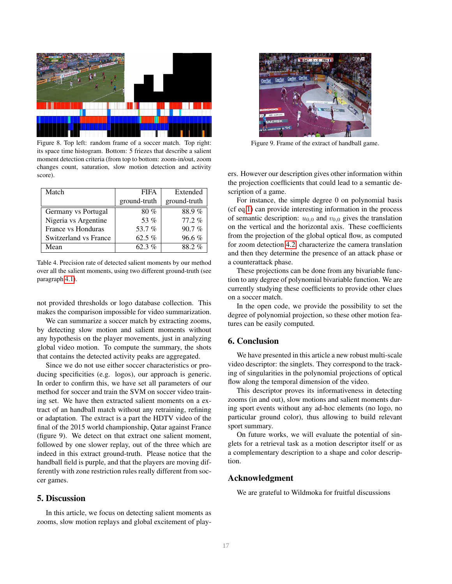

<span id="page-7-0"></span>Figure 8. Top left: random frame of a soccer match. Top right: its space time histogram. Bottom: 5 friezes that describe a salient moment detection criteria (from top to bottom: zoom-in/out, zoom changes count, saturation, slow motion detection and activity score).

| Match                 | <b>FIFA</b>  | Extended     |
|-----------------------|--------------|--------------|
|                       | ground-truth | ground-truth |
| Germany vs Portugal   | 80%          | 88.9%        |
| Nigeria vs Argentine  | 53 %         | $77.2\%$     |
| France vs Honduras    | 53.7%        | 90.7%        |
| Switzerland vs France | 62.5 $%$     | $96.6\%$     |
| Mean                  | 62.3%        | 88.2%        |

<span id="page-7-1"></span>Table 4. Precision rate of detected salient moments by our method over all the salient moments, using two different ground-truth (see paragraph [4.1\)](#page-3-5).

not provided thresholds or logo database collection. This makes the comparison impossible for video summarization.

We can summarize a soccer match by extracting zooms, by detecting slow motion and salient moments without any hypothesis on the player movements, just in analyzing global video motion. To compute the summary, the shots that contains the detected activity peaks are aggregated.

Since we do not use either soccer characteristics or producing specificities (e.g. logos), our approach is generic. In order to confirm this, we have set all parameters of our method for soccer and train the SVM on soccer video training set. We have then extracted salient moments on a extract of an handball match without any retraining, refining or adaptation. The extract is a part the HDTV video of the final of the 2015 world championship, Qatar against France (figure 9). We detect on that extract one salient moment, followed by one slower replay, out of the three which are indeed in this extract ground-truth. Please notice that the handball field is purple, and that the players are moving differently with zone restriction rules really different from soccer games.

## 5. Discussion

In this article, we focus on detecting salient moments as zooms, slow motion replays and global excitement of play-



Figure 9. Frame of the extract of handball game.

ers. However our description gives other information within the projection coefficients that could lead to a semantic description of a game.

For instance, the simple degree 0 on polynomial basis (cf eq[.1\)](#page-1-1) can provide interesting information in the process of semantic description:  $u_{0,0}$  and  $v_{0,0}$  gives the translation on the vertical and the horizontal axis. These coefficients from the projection of the global optical flow, as computed for zoom detection [4.2,](#page-3-4) characterize the camera translation and then they determine the presence of an attack phase or a counterattack phase.

These projections can be done from any bivariable function to any degree of polynomial bivariable function. We are currently studying these coefficients to provide other clues on a soccer match.

In the open code, we provide the possibility to set the degree of polynomial projection, so these other motion features can be easily computed.

## 6. Conclusion

We have presented in this article a new robust multi-scale video descriptor: the singlets. They correspond to the tracking of singularities in the polynomial projections of optical flow along the temporal dimension of the video.

This descriptor proves its informativeness in detecting zooms (in and out), slow motions and salient moments during sport events without any ad-hoc elements (no logo, no particular ground color), thus allowing to build relevant sport summary.

On future works, we will evaluate the potential of singlets for a retrieval task as a motion descriptor itself or as a complementary description to a shape and color description.

## Acknowledgment

We are grateful to Wildmoka for fruitful discussions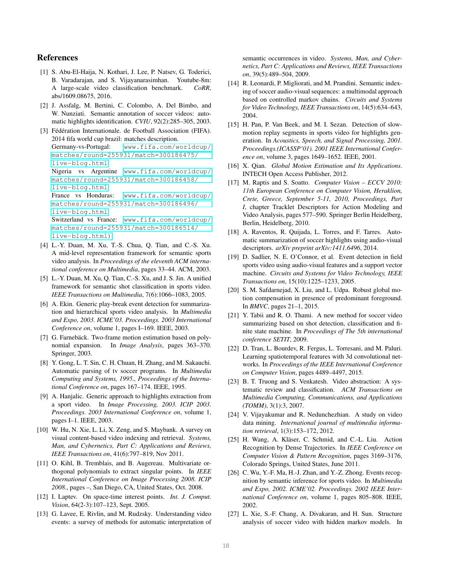# References

- <span id="page-8-0"></span>[1] S. Abu-El-Haija, N. Kothari, J. Lee, P. Natsev, G. Toderici, B. Varadarajan, and S. Vijayanarasimhan. Youtube-8m: A large-scale video classification benchmark. *CoRR*, abs/1609.08675, 2016.
- <span id="page-8-17"></span>[2] J. Assfalg, M. Bertini, C. Colombo, A. Del Bimbo, and W. Nunziati. Semantic annotation of soccer videos: automatic highlights identification. *CVIU*, 92(2):285–305, 2003.

```
[3] Fédération Internationale. de Football Association (FIFA).
   2014 fifa world cup brazil: matches description.
   Germany-vs-Portugal: www.fifa.com/worldcup/
   matches/round=255931/match=300186475/
   live-blog.html
   Nigeria vs Argentine www.fifa.com/worldcup/
   matches/round=255931/match=300186458/
   live-blog.html
   France vs Honduras: www.fifa.com/worldcup/
   matches/round=255931/match=300186496/
   live-blog.html
   Switzerland vs France: www.fifa.com/worldcup/
   matches/round=255931/match=300186514/
   live-blog.html).
```
- <span id="page-8-14"></span>[4] L.-Y. Duan, M. Xu, T.-S. Chua, Q. Tian, and C.-S. Xu. A mid-level representation framework for semantic sports video analysis. In *Proceedings of the eleventh ACM international conference on Multimedia*, pages 33–44. ACM, 2003.
- <span id="page-8-25"></span>[5] L.-Y. Duan, M. Xu, Q. Tian, C.-S. Xu, and J. S. Jin. A unified framework for semantic shot classification in sports video. *IEEE Transactions on Multimedia*, 7(6):1066–1083, 2005.
- <span id="page-8-9"></span>[6] A. Ekin. Generic play-break event detection for summarization and hierarchical sports video analysis. In *Multimedia and Expo, 2003. ICME'03. Proceedings. 2003 International Conference on*, volume 1, pages I–169. IEEE, 2003.
- <span id="page-8-21"></span>[7] G. Farnebäck. Two-frame motion estimation based on polynomial expansion. In *Image Analysis*, pages 363–370. Springer, 2003.
- <span id="page-8-12"></span>[8] Y. Gong, L. T. Sin, C. H. Chuan, H. Zhang, and M. Sakauchi. Automatic parsing of tv soccer programs. In *Multimedia Computing and Systems, 1995., Proceedings of the International Conference on*, pages 167–174. IEEE, 1995.
- <span id="page-8-13"></span>[9] A. Hanjalic. Generic approach to highlights extraction from a sport video. In *Image Processing, 2003. ICIP 2003. Proceedings. 2003 International Conference on*, volume 1, pages I–1. IEEE, 2003.
- <span id="page-8-3"></span>[10] W. Hu, N. Xie, L. Li, X. Zeng, and S. Maybank. A survey on visual content-based video indexing and retrieval. *Systems, Man, and Cybernetics, Part C: Applications and Reviews, IEEE Transactions on*, 41(6):797–819, Nov 2011.
- <span id="page-8-20"></span>[11] O. Kihl, B. Tremblais, and B. Augereau. Multivariate orthogonal polynomials to extract singular points. In *IEEE International Conference on Image Processing 2008. ICIP 2008.*, pages –, San Diego, CA, United States, Oct. 2008.
- <span id="page-8-4"></span>[12] I. Laptev. On space-time interest points. *Int. J. Comput. Vision*, 64(2-3):107–123, Sept. 2005.
- <span id="page-8-1"></span>[13] G. Lavee, E. Rivlin, and M. Rudzsky. Understanding video events: a survey of methods for automatic interpretation of

semantic occurrences in video. *Systems, Man, and Cybernetics, Part C: Applications and Reviews, IEEE Transactions on*, 39(5):489–504, 2009.

- <span id="page-8-11"></span>[14] R. Leonardi, P. Migliorati, and M. Prandini. Semantic indexing of soccer audio-visual sequences: a multimodal approach based on controlled markov chains. *Circuits and Systems for Video Technology, IEEE Transactions on*, 14(5):634–643, 2004.
- <span id="page-8-26"></span>[15] H. Pan, P. Van Beek, and M. I. Sezan. Detection of slowmotion replay segments in sports video for highlights generation. In *Acoustics, Speech, and Signal Processing, 2001. Proceedings.(ICASSP'01). 2001 IEEE International Conference on*, volume 3, pages 1649–1652. IEEE, 2001.
- <span id="page-8-24"></span>[16] X. Qian. *Global Motion Estimation and Its Applications*. INTECH Open Access Publisher, 2012.
- <span id="page-8-5"></span>[17] M. Raptis and S. Soatto. *Computer Vision – ECCV 2010: 11th European Conference on Computer Vision, Heraklion, Crete, Greece, September 5-11, 2010, Proceedings, Part I*, chapter Tracklet Descriptors for Action Modeling and Video Analysis, pages 577–590. Springer Berlin Heidelberg, Berlin, Heidelberg, 2010.
- <span id="page-8-19"></span>[18] A. Raventos, R. Quijada, L. Torres, and F. Tarres. Automatic summarization of soccer highlights using audio-visual descriptors. *arXiv preprint arXiv:1411.6496*, 2014.
- <span id="page-8-16"></span>[19] D. Sadlier, N. E. O'Connor, et al. Event detection in field sports video using audio-visual features and a support vector machine. *Circuits and Systems for Video Technology, IEEE Transactions on*, 15(10):1225–1233, 2005.
- <span id="page-8-23"></span>[20] S. M. Safdarnejad, X. Liu, and L. Udpa. Robust global motion compensation in presence of predominant foreground. In *BMVC*, pages 21–1, 2015.
- <span id="page-8-18"></span>[21] Y. Tabii and R. O. Thami. A new method for soccer video summarizing based on shot detection, classification and finite state machine. In *Proceedings of The 5th international conference SETIT*, 2009.
- <span id="page-8-7"></span>[22] D. Tran, L. Bourdev, R. Fergus, L. Torresani, and M. Paluri. Learning spatiotemporal features with 3d convolutional networks. In *Proceedings of the IEEE International Conference on Computer Vision*, pages 4489–4497, 2015.
- <span id="page-8-8"></span>[23] B. T. Truong and S. Venkatesh. Video abstraction: A systematic review and classification. *ACM Transactions on Multimedia Computing, Communications, and Applications (TOMM)*, 3(1):3, 2007.
- <span id="page-8-2"></span>[24] V. Vijayakumar and R. Nedunchezhian. A study on video data mining. *International journal of multimedia information retrieval*, 1(3):153–172, 2012.
- <span id="page-8-6"></span>[25] H. Wang, A. Kläser, C. Schmid, and C.-L. Liu. Action Recognition by Dense Trajectories. In *IEEE Conference on Computer Vision & Pattern Recognition*, pages 3169–3176, Colorado Springs, United States, June 2011.
- <span id="page-8-15"></span>[26] C. Wu, Y.-F. Ma, H.-J. Zhan, and Y.-Z. Zhong. Events recognition by semantic inference for sports video. In *Multimedia and Expo, 2002. ICME'02. Proceedings. 2002 IEEE International Conference on*, volume 1, pages 805–808. IEEE, 2002.
- <span id="page-8-10"></span>[27] L. Xie, S.-F. Chang, A. Divakaran, and H. Sun. Structure analysis of soccer video with hidden markov models. In